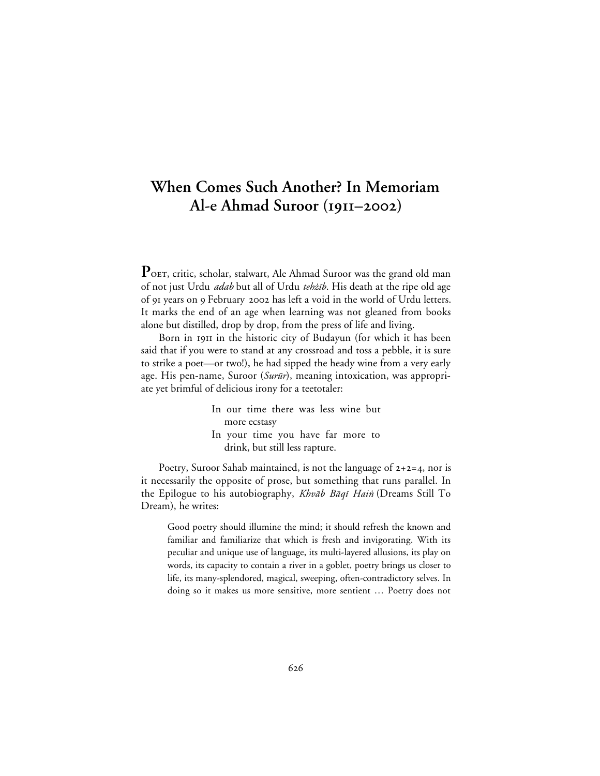## **When Comes Such Another? In Memoriam Al-e Ahmad Suroor (–)**

POET, critic, scholar, stalwart, Ale Ahmad Suroor was the grand old man of not just Urdu *adab* but all of Urdu tehzih. His death at the ripe old age of 91 years on 9 February 2002 has left a void in the world of Urdu letters. It marks the end of an age when learning was not gleaned from books alone but distilled, drop by drop, from the press of life and living.

Born in 1911 in the historic city of Budayun (for which it has been said that if you were to stand at any crossroad and toss a pebble, it is sure to strike a poet—or two!), he had sipped the heady wine from a very early age. His pen-name, Suroor (Surūr), meaning intoxication, was appropriate yet brimful of delicious irony for a teetotaler:

> In our time there was less wine but more ecstasy In your time you have far more to drink, but still less rapture.

Poetry, Suroor Sahab maintained, is not the language of  $2+2=4$ , nor is it necessarily the opposite of prose, but something that runs parallel. In the Epilogue to his autobiography, Khvāb Bāqī Hain (Dreams Still To Dream), he writes:

Good poetry should illumine the mind; it should refresh the known and familiar and familiarize that which is fresh and invigorating. With its peculiar and unique use of language, its multi-layered allusions, its play on words, its capacity to contain a river in a goblet, poetry brings us closer to life, its many-splendored, magical, sweeping, often-contradictory selves. In doing so it makes us more sensitive, more sentient … Poetry does not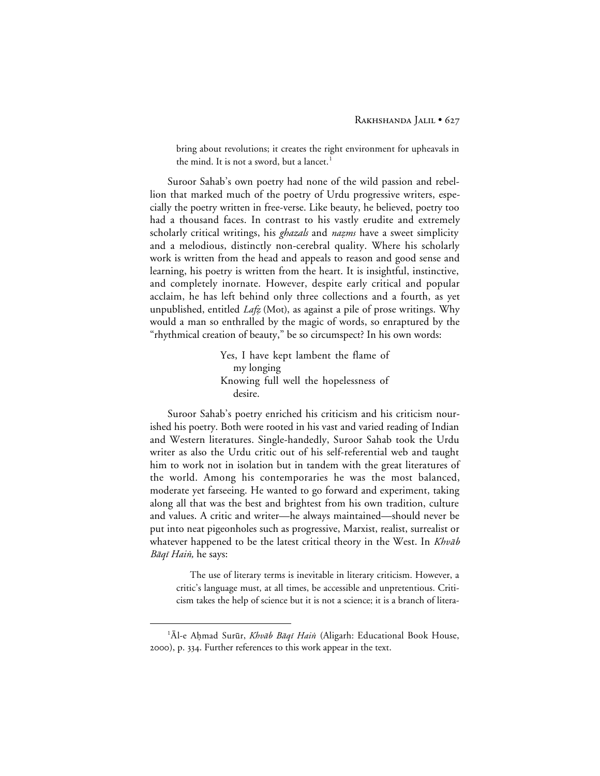bring about revolutions; it creates the right environment for upheavals in the mind. It is not a sword, but a lancet.<sup>1</sup>

Suroor Sahab's own poetry had none of the wild passion and rebellion that marked much of the poetry of Urdu progressive writers, especially the poetry written in free-verse. Like beauty, he believed, poetry too had a thousand faces. In contrast to his vastly erudite and extremely scholarly critical writings, his *ghazals* and *nazms* have a sweet simplicity and a melodious, distinctly non-cerebral quality. Where his scholarly work is written from the head and appeals to reason and good sense and learning, his poetry is written from the heart. It is insightful, instinctive, and completely inornate. However, despite early critical and popular acclaim, he has left behind only three collections and a fourth, as yet unpublished, entitled  $La\ddot{\varepsilon}$  (Mot), as against a pile of prose writings. Why would a man so enthralled by the magic of words, so enraptured by the "rhythmical creation of beauty," be so circumspect? In his own words:

> Yes, I have kept lambent the flame of my longing Knowing full well the hopelessness of desire.

Suroor Sahab's poetry enriched his criticism and his criticism nourished his poetry. Both were rooted in his vast and varied reading of Indian and Western literatures. Single-handedly, Suroor Sahab took the Urdu writer as also the Urdu critic out of his self-referential web and taught him to work not in isolation but in tandem with the great literatures of the world. Among his contemporaries he was the most balanced, moderate yet farseeing. He wanted to go forward and experiment, taking along all that was the best and brightest from his own tradition, culture and values. A critic and writer—he always maintained—should never be put into neat pigeonholes such as progressive, Marxist, realist, surrealist or whatever happened to be the latest critical theory in the West. In Khvab Bāqī Hai*n*, he says:

The use of literary terms is inevitable in literary criticism. However, a critic's language must, at all times, be accessible and unpretentious. Criticism takes the help of science but it is not a science; it is a branch of litera-

 <sup>1</sup> <sup>1</sup>Al-e Ahmad Surūr, Khvāb Bāqī Hain (Aligarh: Educational Book House, 2000), p. 334. Further references to this work appear in the text.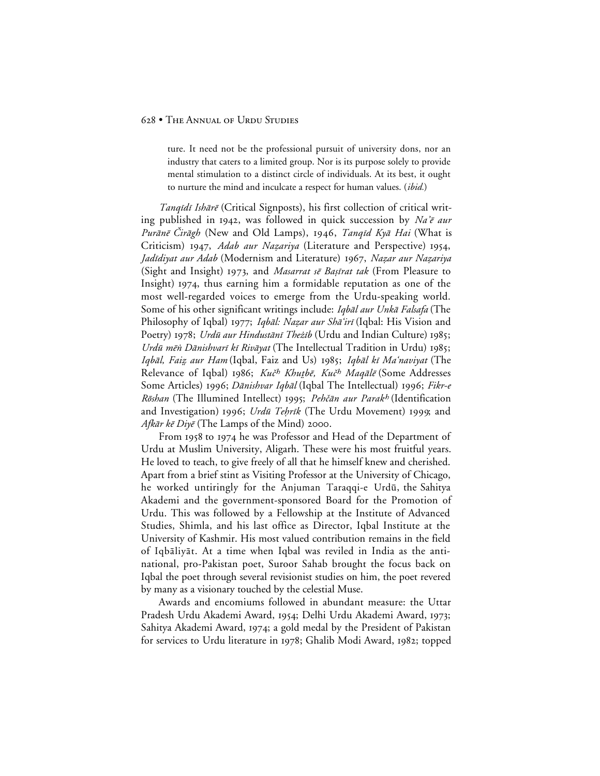## 628 • THE ANNUAL OF URDU STUDIES

ture. It need not be the professional pursuit of university dons, nor an industry that caters to a limited group. Nor is its purpose solely to provide mental stimulation to a distinct circle of individuals. At its best, it ought to nurture the mind and inculcate a respect for human values. (*ibid.*)

Tanqīdī Ishārē (Critical Signposts), his first collection of critical writing published in 1942, was followed in quick succession by Na'e aur Purānē Čirāgh (New and Old Lamps), 1946, Tanqīd Kyā Hai (What is Criticism) 1947, Adab aur Nazariya (Literature and Perspective) 1954, Jadīdiyat aur Adab (Modernism and Literature) 1967, Nazar aur Nazariya (Sight and Insight) 1973, and *Masarrat sē Bașīrat tak* (From Pleasure to Insight) 1974, thus earning him a formidable reputation as one of the most well-regarded voices to emerge from the Urdu-speaking world. Some of his other significant writings include: Iqbāl aur Unkā Falsafa (The Philosophy of Iqbal) 1977; Iqbāl: Nazar aur Shā'irī (Iqbal: His Vision and Poetry) 1978; Urdū aur Hindustānī Theżīb (Urdu and Indian Culture) 1985; Urdū mēn Dānishvarī kī Rivāyat (The Intellectual Tradition in Urdu) 1985; Iqbāl, Faiz aur Ham (Iqbal, Faiz and Us) 1985; Iqbāl kī Ma'naviyat (The Relevance of Iqbal) 1986; Kuč<sup>h</sup> Khutbē, Kuč<sup>h</sup> Maqālē (Some Addresses Some Articles) 1996; Dānishvar Iqbāl (Iqbal The Intellectual) 1996; Fikr-e Röshan (The Illumined Intellect) 1995; Pehčān aur Parakh (Identification and Investigation) 1996; Urdū Tehrīk (The Urdu Movement) 1999; and *Afkār kē Diyē* (The Lamps of the Mind) 2000.

From 1958 to 1974 he was Professor and Head of the Department of Urdu at Muslim University, Aligarh. These were his most fruitful years. He loved to teach, to give freely of all that he himself knew and cherished. Apart from a brief stint as Visiting Professor at the University of Chicago, he worked untiringly for the Anjuman Taraqqi-e Urdū, the Sahitya Akademi and the government-sponsored Board for the Promotion of Urdu. This was followed by a Fellowship at the Institute of Advanced Studies, Shimla, and his last office as Director, Iqbal Institute at the University of Kashmir. His most valued contribution remains in the field of Iqbāliyāt. At a time when Iqbal was reviled in India as the antinational, pro-Pakistan poet, Suroor Sahab brought the focus back on Iqbal the poet through several revisionist studies on him, the poet revered by many as a visionary touched by the celestial Muse.

Awards and encomiums followed in abundant measure: the Uttar Pradesh Urdu Akademi Award, 1954; Delhi Urdu Akademi Award, 1973; Sahitya Akademi Award, 1974; a gold medal by the President of Pakistan for services to Urdu literature in 1978; Ghalib Modi Award, 1982; topped